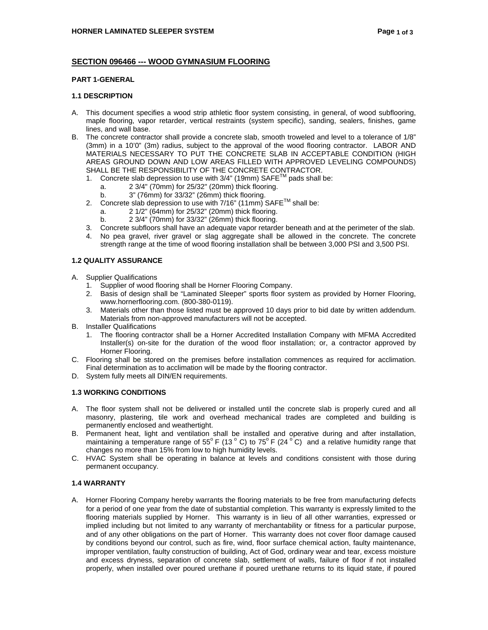# **SECTION 096466 --- WOOD GYMNASIUM FLOORING**

# **PART 1-GENERAL**

#### **1.1 DESCRIPTION**

- A. This document specifies a wood strip athletic floor system consisting, in general, of wood subflooring, maple flooring, vapor retarder, vertical restraints (system specific), sanding, sealers, finishes, game lines, and wall base.
- B. The concrete contractor shall provide a concrete slab, smooth troweled and level to a tolerance of 1/8" (3mm) in a 10'0" (3m) radius, subject to the approval of the wood flooring contractor. LABOR AND MATERIALS NECESSARY TO PUT THE CONCRETE SLAB IN ACCEPTABLE CONDITION (HIGH AREAS GROUND DOWN AND LOW AREAS FILLED WITH APPROVED LEVELING COMPOUNDS) SHALL BE THE RESPONSIBILITY OF THE CONCRETE CONTRACTOR.
	- 1. Concrete slab depression to use with  $3/4$ " (19mm) SAFE<sup>TM</sup> pads shall be:
		- a. 2 3/4" (70mm) for 25/32" (20mm) thick flooring.
		- b. 3" (76mm) for 33/32" (26mm) thick flooring.
	- 2. Concrete slab depression to use with  $7/16$ " (11mm) SAFE<sup>TM</sup> shall be:
		- a. 2 1/2" (64mm) for 25/32" (20mm) thick flooring.
		- b. 2 3/4" (70mm) for 33/32" (26mm) thick flooring.
	- 3. Concrete subfloors shall have an adequate vapor retarder beneath and at the perimeter of the slab.
	- 4. No pea gravel, river gravel or slag aggregate shall be allowed in the concrete. The concrete strength range at the time of wood flooring installation shall be between 3,000 PSI and 3,500 PSI.

### **1.2 QUALITY ASSURANCE**

- A. Supplier Qualifications
	- 1. Supplier of wood flooring shall be Horner Flooring Company.
	- 2. Basis of design shall be "Laminated Sleeper" sports floor system as provided by Horner Flooring, www.hornerflooring.com. (800-380-0119).
	- 3. Materials other than those listed must be approved 10 days prior to bid date by written addendum. Materials from non-approved manufacturers will not be accepted.
- B. Installer Qualifications
	- 1. The flooring contractor shall be a Horner Accredited Installation Company with MFMA Accredited Installer(s) on-site for the duration of the wood floor installation; or, a contractor approved by Horner Flooring.
- C. Flooring shall be stored on the premises before installation commences as required for acclimation. Final determination as to acclimation will be made by the flooring contractor.
- D. System fully meets all DIN/EN requirements.

#### **1.3 WORKING CONDITIONS**

- A. The floor system shall not be delivered or installed until the concrete slab is properly cured and all masonry, plastering, tile work and overhead mechanical trades are completed and building is permanently enclosed and weathertight.
- B. Permanent heat, light and ventilation shall be installed and operative during and after installation, maintaining a temperature range of  $55^{\circ}$  F (13  $^{\circ}$  C) to 75 $^{\circ}$  F (24  $^{\circ}$  C) and a relative humidity range that changes no more than 15% from low to high humidity levels.
- C. HVAC System shall be operating in balance at levels and conditions consistent with those during permanent occupancy.

### **1.4 WARRANTY**

A. Horner Flooring Company hereby warrants the flooring materials to be free from manufacturing defects for a period of one year from the date of substantial completion. This warranty is expressly limited to the flooring materials supplied by Horner. This warranty is in lieu of all other warranties, expressed or implied including but not limited to any warranty of merchantability or fitness for a particular purpose, and of any other obligations on the part of Horner. This warranty does not cover floor damage caused by conditions beyond our control, such as fire, wind, floor surface chemical action, faulty maintenance, improper ventilation, faulty construction of building, Act of God, ordinary wear and tear, excess moisture and excess dryness, separation of concrete slab, settlement of walls, failure of floor if not installed properly, when installed over poured urethane if poured urethane returns to its liquid state, if poured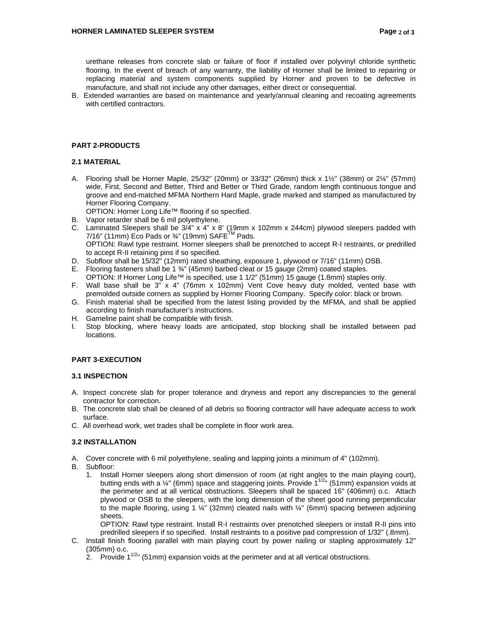urethane releases from concrete slab or failure of floor if installed over polyvinyl chloride synthetic flooring. In the event of breach of any warranty, the liability of Horner shall be limited to repairing or replacing material and system components supplied by Horner and proven to be defective in manufacture, and shall not include any other damages, either direct or consequential.

B. Extended warranties are based on maintenance and yearly/annual cleaning and recoating agreements with certified contractors.

#### **PART 2-PRODUCTS**

# **2.1 MATERIAL**

A. Flooring shall be Horner Maple,  $25/32$ " (20mm) or  $33/32$ " (26mm) thick x  $1\frac{1}{2}$ " (38mm) or  $2\frac{1}{4}$ " (57mm) wide, First, Second and Better, Third and Better or Third Grade, random length continuous tongue and groove and end-matched MFMA Northern Hard Maple, grade marked and stamped as manufactured by Horner Flooring Company.

OPTION: Horner Long Life™ flooring if so specified.

- B. Vapor retarder shall be 6 mil polyethylene.
- C. Laminated Sleepers shall be  $3/4$ " x  $4$ " x 8' (19mm x 102mm x 244cm) plywood sleepers padded with 7/16" (11mm) Eco Pads or  $\frac{3}{4}$ " (19mm) SAFE<sup>TM</sup> Pads. OPTION: Rawl type restraint. Horner sleepers shall be prenotched to accept R-I restraints, or predrilled to accept R-II retaining pins if so specified.
- D. Subfloor shall be 15/32" (12mm) rated sheathing, exposure 1, plywood or 7/16" (11mm) OSB.
- E. Flooring fasteners shall be 1 ¾" (45mm) barbed cleat or 15 gauge (2mm) coated staples.
- OPTION: If Horner Long Life™ is specified, use 1 1/2" (51mm) 15 gauge (1.8mm) staples only.
- F. Wall base shall be  $3^{\frac{1}{2}} \times 4^{\frac{1}{2}}$  (76mm x 102mm) Vent Cove heavy duty molded, vented base with premolded outside corners as supplied by Horner Flooring Company. Specify color: black or brown.
- G. Finish material shall be specified from the latest listing provided by the MFMA, and shall be applied according to finish manufacturer's instructions.
- H. Gameline paint shall be compatible with finish.
- I. Stop blocking, where heavy loads are anticipated, stop blocking shall be installed between pad locations.

### **PART 3-EXECUTION**

### **3.1 INSPECTION**

- A. Inspect concrete slab for proper tolerance and dryness and report any discrepancies to the general contractor for correction.
- B. The concrete slab shall be cleaned of all debris so flooring contractor will have adequate access to work surface.
- C. All overhead work, wet trades shall be complete in floor work area.

# **3.2 INSTALLATION**

- A. Cover concrete with 6 mil polyethylene, sealing and lapping joints a minimum of 4" (102mm).
- B. Subfloor:
	- 1. Install Horner sleepers along short dimension of room (at right angles to the main playing court), butting ends with a  $\frac{1}{4}$ " (6mm) space and staggering joints. Provide  $1^{1/2}$ " (51mm) expansion voids at the perimeter and at all vertical obstructions. Sleepers shall be spaced 16" (406mm) o.c. Attach plywood or OSB to the sleepers, with the long dimension of the sheet good running perpendicular to the maple flooring, using 1  $\frac{1}{4}$ " (32mm) cleated nails with  $\frac{1}{4}$ " (6mm) spacing between adjoining sheets.

 OPTION: Rawl type restraint. Install R-I restraints over prenotched sleepers or install R-II pins into predrilled sleepers if so specified. Install restraints to a positive pad compression of 1/32" (.8mm).

- C. Install finish flooring parallel with main playing court by power nailing or stapling approximately 12" (305mm) o.c.
	- $2.$  Provide 1<sup>1/2</sup>" (51mm) expansion voids at the perimeter and at all vertical obstructions.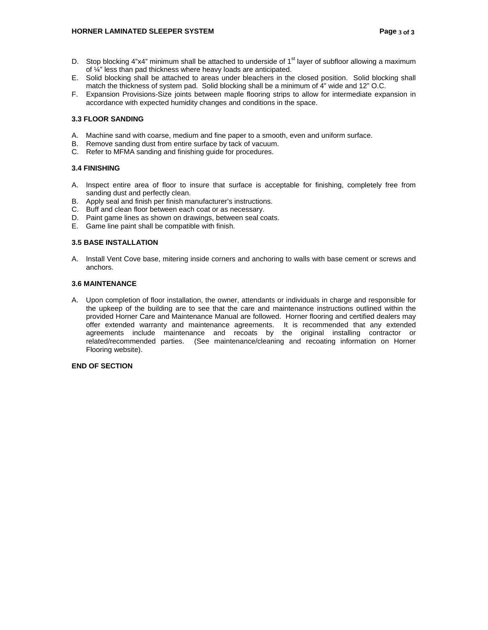#### **HORNER LAMINATED SLEEPER SYSTEM Page 3 of 3 Page 3 of 3**

- D. Stop blocking 4"x4" minimum shall be attached to underside of  $1<sup>st</sup>$  layer of subfloor allowing a maximum of ¼" less than pad thickness where heavy loads are anticipated.
- E. Solid blocking shall be attached to areas under bleachers in the closed position. Solid blocking shall match the thickness of system pad. Solid blocking shall be a minimum of 4" wide and 12" O.C.
- F. Expansion Provisions-Size joints between maple flooring strips to allow for intermediate expansion in accordance with expected humidity changes and conditions in the space.

#### **3.3 FLOOR SANDING**

- A. Machine sand with coarse, medium and fine paper to a smooth, even and uniform surface.
- B. Remove sanding dust from entire surface by tack of vacuum.
- C. Refer to MFMA sanding and finishing guide for procedures.

### **3.4 FINISHING**

- A. Inspect entire area of floor to insure that surface is acceptable for finishing, completely free from sanding dust and perfectly clean.
- B. Apply seal and finish per finish manufacturer's instructions.
- C. Buff and clean floor between each coat or as necessary.
- D. Paint game lines as shown on drawings, between seal coats.
- E. Game line paint shall be compatible with finish.

# **3.5 BASE INSTALLATION**

A. Install Vent Cove base, mitering inside corners and anchoring to walls with base cement or screws and anchors.

### **3.6 MAINTENANCE**

A. Upon completion of floor installation, the owner, attendants or individuals in charge and responsible for the upkeep of the building are to see that the care and maintenance instructions outlined within the provided Horner Care and Maintenance Manual are followed. Horner flooring and certified dealers may offer extended warranty and maintenance agreements. It is recommended that any extended agreements include maintenance and recoats by the original installing contractor or related/recommended parties. (See maintenance/cleaning and recoating information on Horner Flooring website).

#### **END OF SECTION**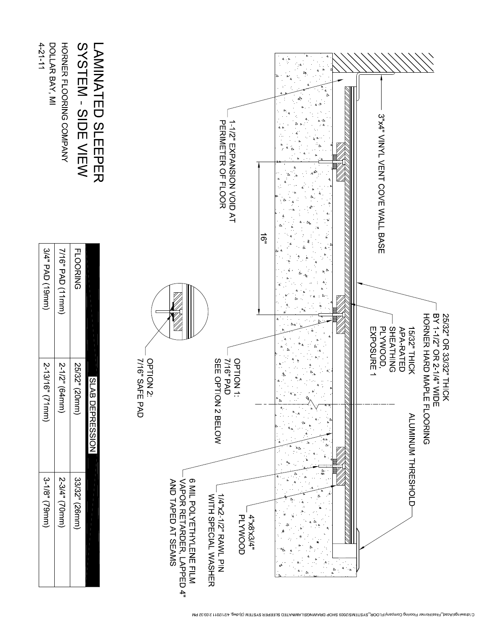| DOLLAR BAY, MI<br>4-21-11 | HORNER FLOORING COMPANY | SYSTEM - SIDE VIEW | <b>LANINATED SLEEPER</b> | PERIMETER OF FLOOR<br>1-1/2" EXPANSION VOID AT |                                                                            |                                            |                              | ទ្ធ |   | 4<br>D                    | 3"x4" VINYL VENT COVE WALL BASE                                                                                                            |  |
|---------------------------|-------------------------|--------------------|--------------------------|------------------------------------------------|----------------------------------------------------------------------------|--------------------------------------------|------------------------------|-----|---|---------------------------|--------------------------------------------------------------------------------------------------------------------------------------------|--|
| 3/4" PAD (19mm)           | 7/16" PAD (11mm)        | <b>FLOORING</b>    |                          |                                                |                                                                            |                                            |                              |     |   |                           | BY 11/2" OR 2 1/4" NIDE<br>25/32" OR 33/32" THICK<br>PLYWOOD,<br><b>SHEATHING</b><br>EXPOSURE 1<br><b>APA-RATED</b><br><b>15/32" THICK</b> |  |
| 2-13/16"<br>$(\sqrt{2}$   | 2-1/2" (64mm)           | 25/32" (20mm)      | <b>SLAB DEPRESSION</b>   | OPTION 2:<br>7/16" SAFE PAD                    |                                                                            | <b>SEE OPT</b><br>7/16" PAD<br>ION 2 BELOW | OPTION <sub>1</sub>          |     | Δ | $\overline{4}$            | HORNER HARD MAPLE FLOORING<br>ALUMINUM THRESHOLD                                                                                           |  |
| 3-1/8" (79mm)             | 2-3/4" (70mm)           | 33/32" (26mm)      |                          |                                                | 6 MIL POLYETHYLENE FILM<br>AND TAPED AT SEAMS<br>VAPOR RETARDER, LAPPED 4" | NITH SPECIAL WASHER<br>WITH SPECIAL WASHER | <b>PLYWOOD</b><br>4"x8'x3/4" |     |   | $\Delta$<br>$\frac{d}{d}$ |                                                                                                                                            |  |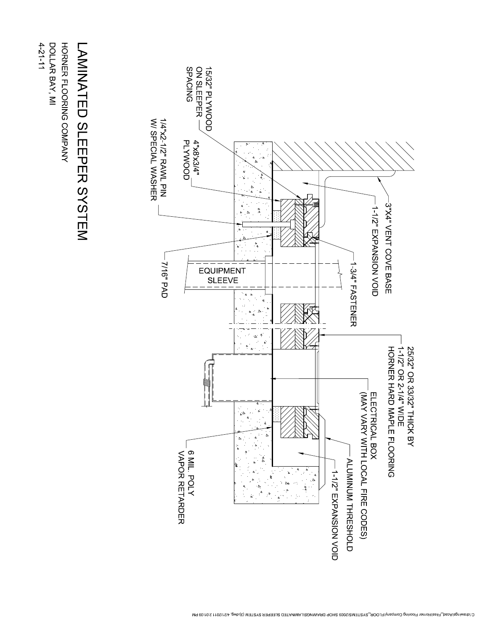